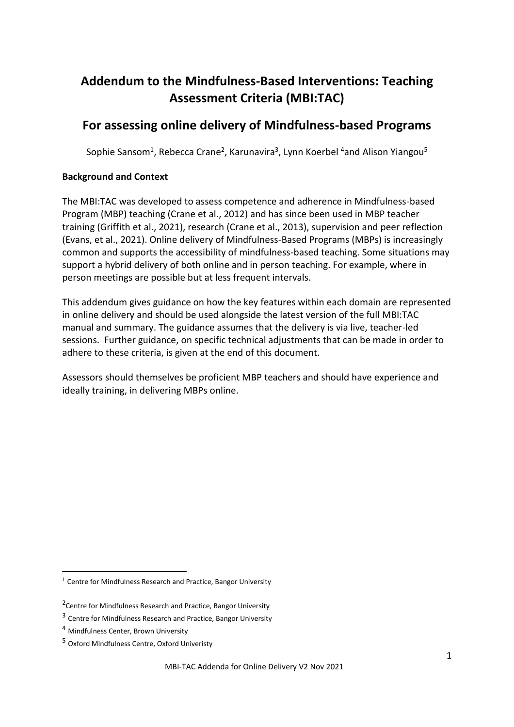# **Addendum to the Mindfulness-Based Interventions: Teaching Assessment Criteria (MBI:TAC)**

## **For assessing online delivery of Mindfulness-based Programs**

Sophie Sansom<sup>1</sup>, Rebecca Crane<sup>2</sup>, Karunavira<sup>3</sup>, Lynn Koerbel <sup>4</sup>and Alison Yiangou<sup>5</sup>

## **Background and Context**

The MBI:TAC was developed to assess competence and adherence in Mindfulness-based Program (MBP) teaching (Crane et al., 2012) and has since been used in MBP teacher training (Griffith et al., 2021), research (Crane et al., 2013), supervision and peer reflection (Evans, et al., 2021). Online delivery of Mindfulness-Based Programs (MBPs) is increasingly common and supports the accessibility of mindfulness-based teaching. Some situations may support a hybrid delivery of both online and in person teaching. For example, where in person meetings are possible but at less frequent intervals.

This addendum gives guidance on how the key features within each domain are represented in online delivery and should be used alongside the latest version of the full MBI:TAC manual and summary. The guidance assumes that the delivery is via live, teacher-led sessions. Further guidance, on specific technical adjustments that can be made in order to adhere to these criteria, is given at the end of this document.

Assessors should themselves be proficient MBP teachers and should have experience and ideally training, in delivering MBPs online.

 $1$  Centre for Mindfulness Research and Practice, Bangor University

<sup>&</sup>lt;sup>2</sup> Centre for Mindfulness Research and Practice, Bangor University

<sup>&</sup>lt;sup>3</sup> Centre for Mindfulness Research and Practice, Bangor University

<sup>4</sup> Mindfulness Center, Brown University

<sup>5</sup> Oxford Mindfulness Centre, Oxford Univeristy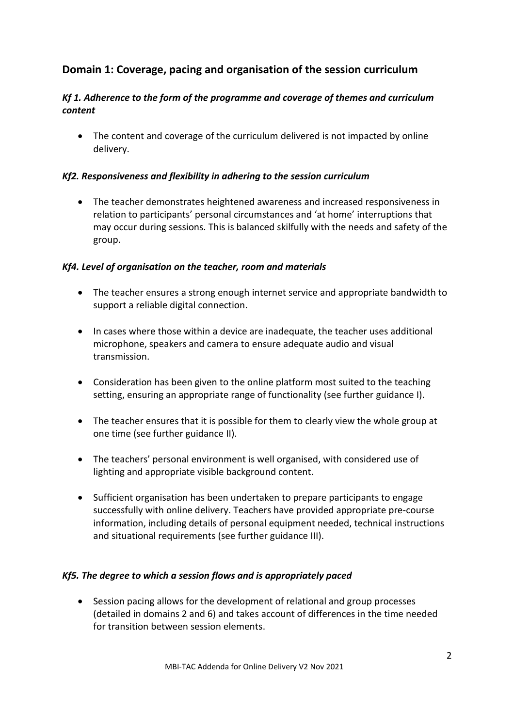## **Domain 1: Coverage, pacing and organisation of the session curriculum**

## *Kf 1. Adherence to the form of the programme and coverage of themes and curriculum content*

• The content and coverage of the curriculum delivered is not impacted by online delivery.

### *Kf2. Responsiveness and flexibility in adhering to the session curriculum*

• The teacher demonstrates heightened awareness and increased responsiveness in relation to participants' personal circumstances and 'at home' interruptions that may occur during sessions. This is balanced skilfully with the needs and safety of the group.

#### *Kf4. Level of organisation on the teacher, room and materials*

- The teacher ensures a strong enough internet service and appropriate bandwidth to support a reliable digital connection.
- In cases where those within a device are inadequate, the teacher uses additional microphone, speakers and camera to ensure adequate audio and visual transmission.
- Consideration has been given to the online platform most suited to the teaching setting, ensuring an appropriate range of functionality (see further guidance I).
- The teacher ensures that it is possible for them to clearly view the whole group at one time (see further guidance II).
- The teachers' personal environment is well organised, with considered use of lighting and appropriate visible background content.
- Sufficient organisation has been undertaken to prepare participants to engage successfully with online delivery. Teachers have provided appropriate pre-course information, including details of personal equipment needed, technical instructions and situational requirements (see further guidance III).

#### *Kf5. The degree to which a session flows and is appropriately paced*

• Session pacing allows for the development of relational and group processes (detailed in domains 2 and 6) and takes account of differences in the time needed for transition between session elements.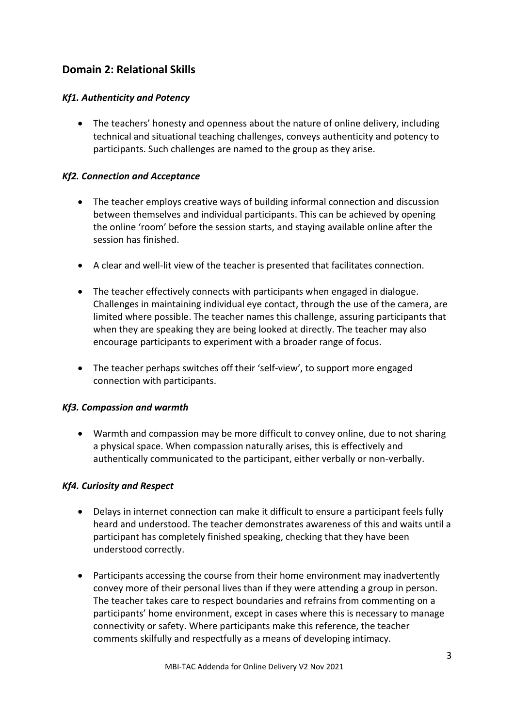## **Domain 2: Relational Skills**

## *Kf1. Authenticity and Potency*

• The teachers' honesty and openness about the nature of online delivery, including technical and situational teaching challenges, conveys authenticity and potency to participants. Such challenges are named to the group as they arise.

### *Kf2. Connection and Acceptance*

- The teacher employs creative ways of building informal connection and discussion between themselves and individual participants. This can be achieved by opening the online 'room' before the session starts, and staying available online after the session has finished.
- A clear and well-lit view of the teacher is presented that facilitates connection.
- The teacher effectively connects with participants when engaged in dialogue. Challenges in maintaining individual eye contact, through the use of the camera, are limited where possible. The teacher names this challenge, assuring participants that when they are speaking they are being looked at directly. The teacher may also encourage participants to experiment with a broader range of focus.
- The teacher perhaps switches off their 'self-view', to support more engaged connection with participants.

#### *Kf3. Compassion and warmth*

• Warmth and compassion may be more difficult to convey online, due to not sharing a physical space. When compassion naturally arises, this is effectively and authentically communicated to the participant, either verbally or non-verbally.

#### *Kf4. Curiosity and Respect*

- Delays in internet connection can make it difficult to ensure a participant feels fully heard and understood. The teacher demonstrates awareness of this and waits until a participant has completely finished speaking, checking that they have been understood correctly.
- Participants accessing the course from their home environment may inadvertently convey more of their personal lives than if they were attending a group in person. The teacher takes care to respect boundaries and refrains from commenting on a participants' home environment, except in cases where this is necessary to manage connectivity or safety. Where participants make this reference, the teacher comments skilfully and respectfully as a means of developing intimacy.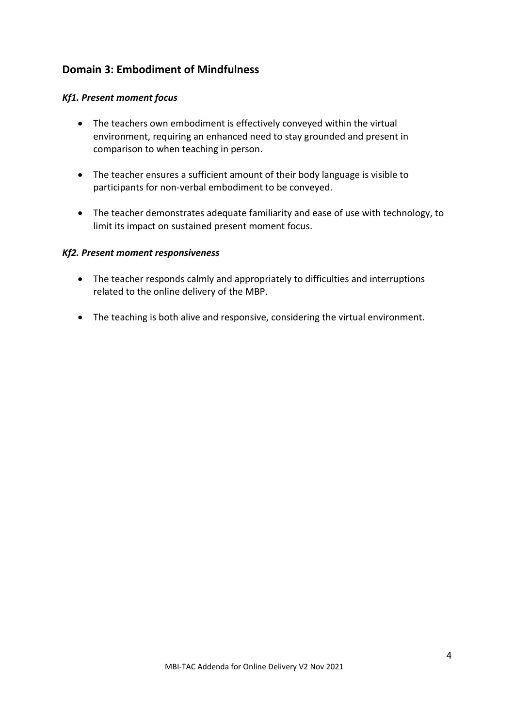## **Domain 3: Embodiment of Mindfulness**

#### *Kf1. Present moment focus*

- The teachers own embodiment is effectively conveyed within the virtual environment, requiring an enhanced need to stay grounded and present in comparison to when teaching in person.
- The teacher ensures a sufficient amount of their body language is visible to participants for non-verbal embodiment to be conveyed.
- The teacher demonstrates adequate familiarity and ease of use with technology, to limit its impact on sustained present moment focus.

#### *Kf2. Present moment responsiveness*

- The teacher responds calmly and appropriately to difficulties and interruptions related to the online delivery of the MBP.
- The teaching is both alive and responsive, considering the virtual environment.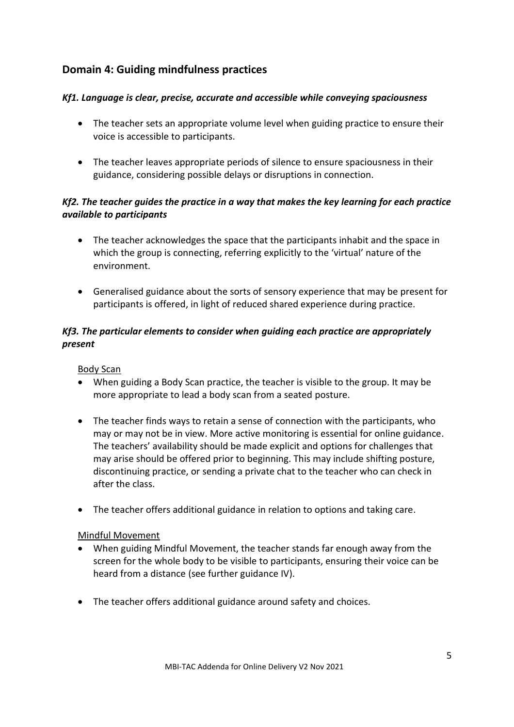## **Domain 4: Guiding mindfulness practices**

## *Kf1. Language is clear, precise, accurate and accessible while conveying spaciousness*

- The teacher sets an appropriate volume level when guiding practice to ensure their voice is accessible to participants.
- The teacher leaves appropriate periods of silence to ensure spaciousness in their guidance, considering possible delays or disruptions in connection.

## *Kf2. The teacher guides the practice in a way that makes the key learning for each practice available to participants*

- The teacher acknowledges the space that the participants inhabit and the space in which the group is connecting, referring explicitly to the 'virtual' nature of the environment.
- Generalised guidance about the sorts of sensory experience that may be present for participants is offered, in light of reduced shared experience during practice.

## *Kf3. The particular elements to consider when guiding each practice are appropriately present*

### Body Scan

- When guiding a Body Scan practice, the teacher is visible to the group. It may be more appropriate to lead a body scan from a seated posture.
- The teacher finds ways to retain a sense of connection with the participants, who may or may not be in view. More active monitoring is essential for online guidance. The teachers' availability should be made explicit and options for challenges that may arise should be offered prior to beginning. This may include shifting posture, discontinuing practice, or sending a private chat to the teacher who can check in after the class.
- The teacher offers additional guidance in relation to options and taking care.

#### Mindful Movement

- When guiding Mindful Movement, the teacher stands far enough away from the screen for the whole body to be visible to participants, ensuring their voice can be heard from a distance (see further guidance IV).
- The teacher offers additional guidance around safety and choices.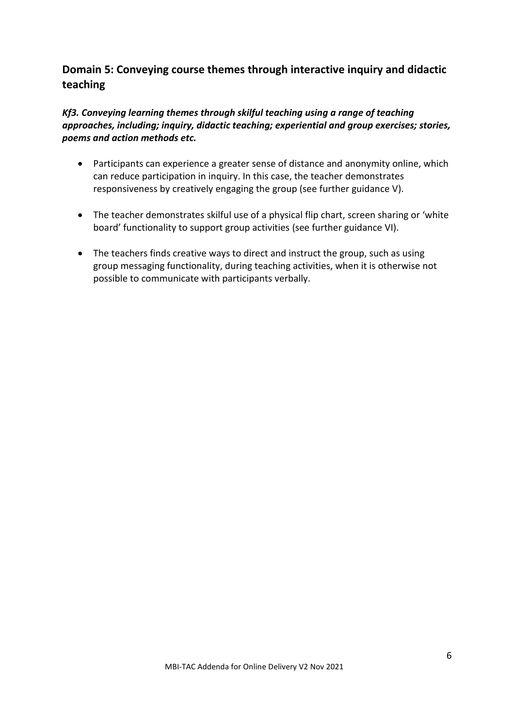## **Domain 5: Conveying course themes through interactive inquiry and didactic teaching**

### *Kf3. Conveying learning themes through skilful teaching using a range of teaching approaches, including; inquiry, didactic teaching; experiential and group exercises; stories, poems and action methods etc.*

- Participants can experience a greater sense of distance and anonymity online, which can reduce participation in inquiry. In this case, the teacher demonstrates responsiveness by creatively engaging the group (see further guidance V).
- The teacher demonstrates skilful use of a physical flip chart, screen sharing or 'white board' functionality to support group activities (see further guidance VI).
- The teachers finds creative ways to direct and instruct the group, such as using group messaging functionality, during teaching activities, when it is otherwise not possible to communicate with participants verbally.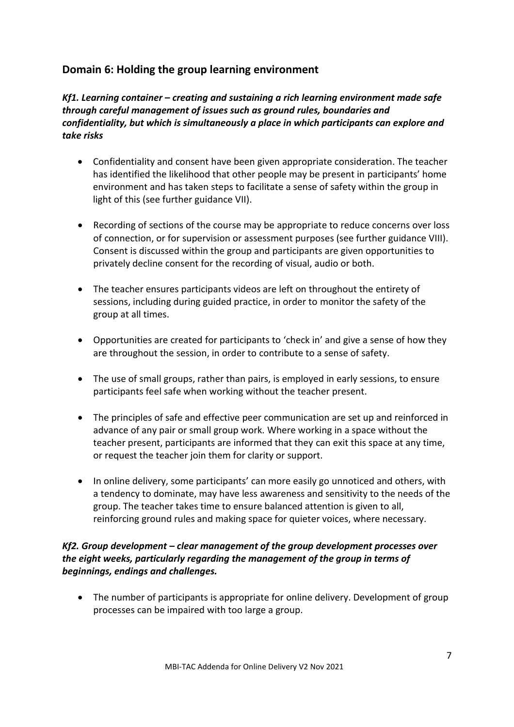## **Domain 6: Holding the group learning environment**

*Kf1. Learning container – creating and sustaining a rich learning environment made safe through careful management of issues such as ground rules, boundaries and confidentiality, but which is simultaneously a place in which participants can explore and take risks*

- Confidentiality and consent have been given appropriate consideration. The teacher has identified the likelihood that other people may be present in participants' home environment and has taken steps to facilitate a sense of safety within the group in light of this (see further guidance VII).
- Recording of sections of the course may be appropriate to reduce concerns over loss of connection, or for supervision or assessment purposes (see further guidance VIII). Consent is discussed within the group and participants are given opportunities to privately decline consent for the recording of visual, audio or both.
- The teacher ensures participants videos are left on throughout the entirety of sessions, including during guided practice, in order to monitor the safety of the group at all times.
- Opportunities are created for participants to 'check in' and give a sense of how they are throughout the session, in order to contribute to a sense of safety.
- The use of small groups, rather than pairs, is employed in early sessions, to ensure participants feel safe when working without the teacher present.
- The principles of safe and effective peer communication are set up and reinforced in advance of any pair or small group work. Where working in a space without the teacher present, participants are informed that they can exit this space at any time, or request the teacher join them for clarity or support.
- In online delivery, some participants' can more easily go unnoticed and others, with a tendency to dominate, may have less awareness and sensitivity to the needs of the group. The teacher takes time to ensure balanced attention is given to all, reinforcing ground rules and making space for quieter voices, where necessary.

## *Kf2. Group development – clear management of the group development processes over the eight weeks, particularly regarding the management of the group in terms of beginnings, endings and challenges.*

• The number of participants is appropriate for online delivery. Development of group processes can be impaired with too large a group.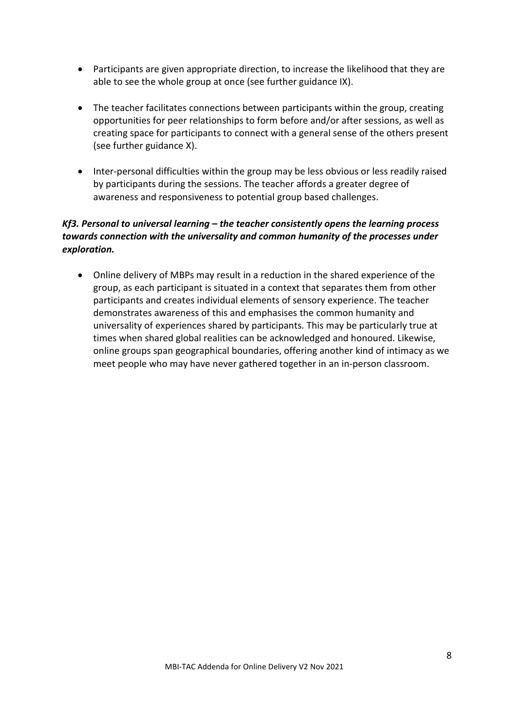- Participants are given appropriate direction, to increase the likelihood that they are able to see the whole group at once (see further guidance IX).
- The teacher facilitates connections between participants within the group, creating opportunities for peer relationships to form before and/or after sessions, as well as creating space for participants to connect with a general sense of the others present (see further guidance X).
- Inter-personal difficulties within the group may be less obvious or less readily raised by participants during the sessions. The teacher affords a greater degree of awareness and responsiveness to potential group based challenges.

## *Kf3. Personal to universal learning – the teacher consistently opens the learning process towards connection with the universality and common humanity of the processes under exploration.*

• Online delivery of MBPs may result in a reduction in the shared experience of the group, as each participant is situated in a context that separates them from other participants and creates individual elements of sensory experience. The teacher demonstrates awareness of this and emphasises the common humanity and universality of experiences shared by participants. This may be particularly true at times when shared global realities can be acknowledged and honoured. Likewise, online groups span geographical boundaries, offering another kind of intimacy as we meet people who may have never gathered together in an in-person classroom.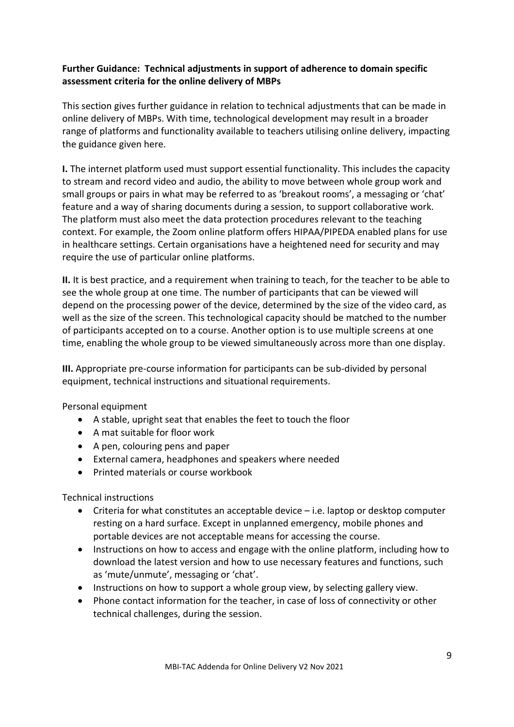### **Further Guidance: Technical adjustments in support of adherence to domain specific assessment criteria for the online delivery of MBPs**

This section gives further guidance in relation to technical adjustments that can be made in online delivery of MBPs. With time, technological development may result in a broader range of platforms and functionality available to teachers utilising online delivery, impacting the guidance given here.

**I.** The internet platform used must support essential functionality. This includes the capacity to stream and record video and audio, the ability to move between whole group work and small groups or pairs in what may be referred to as 'breakout rooms', a messaging or 'chat' feature and a way of sharing documents during a session, to support collaborative work. The platform must also meet the data protection procedures relevant to the teaching context. For example, the Zoom online platform offers HIPAA/PIPEDA enabled plans for use in healthcare settings. Certain organisations have a heightened need for security and may require the use of particular online platforms.

**II.** It is best practice, and a requirement when training to teach, for the teacher to be able to see the whole group at one time. The number of participants that can be viewed will depend on the processing power of the device, determined by the size of the video card, as well as the size of the screen. This technological capacity should be matched to the number of participants accepted on to a course. Another option is to use multiple screens at one time, enabling the whole group to be viewed simultaneously across more than one display.

**III.** Appropriate pre-course information for participants can be sub-divided by personal equipment, technical instructions and situational requirements.

Personal equipment

- A stable, upright seat that enables the feet to touch the floor
- A mat suitable for floor work
- A pen, colouring pens and paper
- External camera, headphones and speakers where needed
- Printed materials or course workbook

Technical instructions

- Criteria for what constitutes an acceptable device i.e. laptop or desktop computer resting on a hard surface. Except in unplanned emergency, mobile phones and portable devices are not acceptable means for accessing the course.
- Instructions on how to access and engage with the online platform, including how to download the latest version and how to use necessary features and functions, such as 'mute/unmute', messaging or 'chat'.
- Instructions on how to support a whole group view, by selecting gallery view.
- Phone contact information for the teacher, in case of loss of connectivity or other technical challenges, during the session.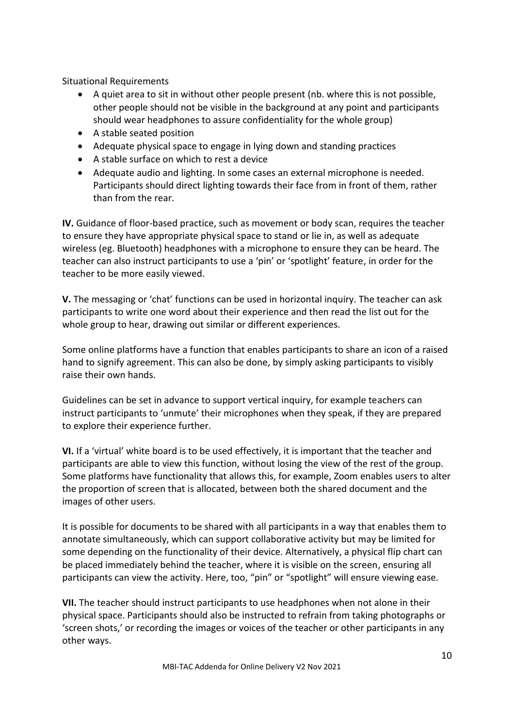Situational Requirements

- A quiet area to sit in without other people present (nb. where this is not possible, other people should not be visible in the background at any point and participants should wear headphones to assure confidentiality for the whole group)
- A stable seated position
- Adequate physical space to engage in lying down and standing practices
- A stable surface on which to rest a device
- Adequate audio and lighting. In some cases an external microphone is needed. Participants should direct lighting towards their face from in front of them, rather than from the rear.

**IV.** Guidance of floor-based practice, such as movement or body scan, requires the teacher to ensure they have appropriate physical space to stand or lie in, as well as adequate wireless (eg. Bluetooth) headphones with a microphone to ensure they can be heard. The teacher can also instruct participants to use a 'pin' or 'spotlight' feature, in order for the teacher to be more easily viewed.

**V.** The messaging or 'chat' functions can be used in horizontal inquiry. The teacher can ask participants to write one word about their experience and then read the list out for the whole group to hear, drawing out similar or different experiences.

Some online platforms have a function that enables participants to share an icon of a raised hand to signify agreement. This can also be done, by simply asking participants to visibly raise their own hands.

Guidelines can be set in advance to support vertical inquiry, for example teachers can instruct participants to 'unmute' their microphones when they speak, if they are prepared to explore their experience further.

**VI.** If a 'virtual' white board is to be used effectively, it is important that the teacher and participants are able to view this function, without losing the view of the rest of the group. Some platforms have functionality that allows this, for example, Zoom enables users to alter the proportion of screen that is allocated, between both the shared document and the images of other users.

It is possible for documents to be shared with all participants in a way that enables them to annotate simultaneously, which can support collaborative activity but may be limited for some depending on the functionality of their device. Alternatively, a physical flip chart can be placed immediately behind the teacher, where it is visible on the screen, ensuring all participants can view the activity. Here, too, "pin" or "spotlight" will ensure viewing ease.

**VII.** The teacher should instruct participants to use headphones when not alone in their physical space. Participants should also be instructed to refrain from taking photographs or 'screen shots,' or recording the images or voices of the teacher or other participants in any other ways.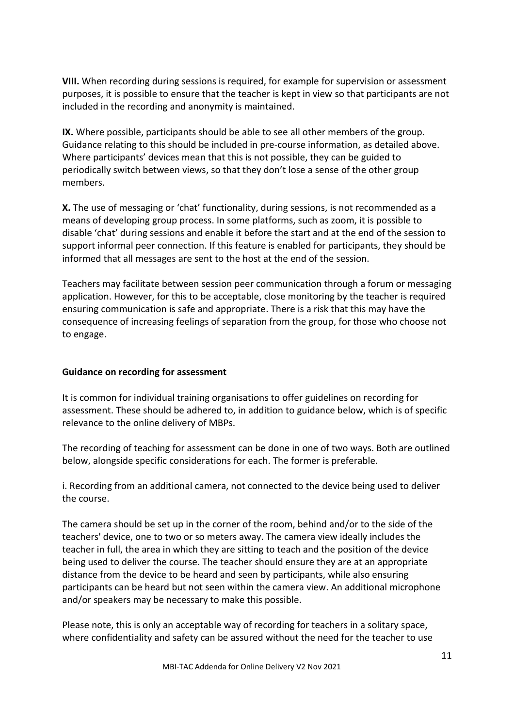**VIII.** When recording during sessions is required, for example for supervision or assessment purposes, it is possible to ensure that the teacher is kept in view so that participants are not included in the recording and anonymity is maintained.

**IX.** Where possible, participants should be able to see all other members of the group. Guidance relating to this should be included in pre-course information, as detailed above. Where participants' devices mean that this is not possible, they can be guided to periodically switch between views, so that they don't lose a sense of the other group members.

**X.** The use of messaging or 'chat' functionality, during sessions, is not recommended as a means of developing group process. In some platforms, such as zoom, it is possible to disable 'chat' during sessions and enable it before the start and at the end of the session to support informal peer connection. If this feature is enabled for participants, they should be informed that all messages are sent to the host at the end of the session.

Teachers may facilitate between session peer communication through a forum or messaging application. However, for this to be acceptable, close monitoring by the teacher is required ensuring communication is safe and appropriate. There is a risk that this may have the consequence of increasing feelings of separation from the group, for those who choose not to engage.

#### **Guidance on recording for assessment**

It is common for individual training organisations to offer guidelines on recording for assessment. These should be adhered to, in addition to guidance below, which is of specific relevance to the online delivery of MBPs.

The recording of teaching for assessment can be done in one of two ways. Both are outlined below, alongside specific considerations for each. The former is preferable.

i. Recording from an additional camera, not connected to the device being used to deliver the course.

The camera should be set up in the corner of the room, behind and/or to the side of the teachers' device, one to two or so meters away. The camera view ideally includes the teacher in full, the area in which they are sitting to teach and the position of the device being used to deliver the course. The teacher should ensure they are at an appropriate distance from the device to be heard and seen by participants, while also ensuring participants can be heard but not seen within the camera view. An additional microphone and/or speakers may be necessary to make this possible.

Please note, this is only an acceptable way of recording for teachers in a solitary space, where confidentiality and safety can be assured without the need for the teacher to use